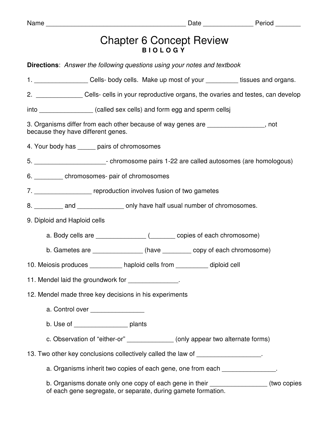## Chapter 6 Concept Review **B I O L O G Y**

| <b>Directions:</b> Answer the following questions using your notes and textbook                                                                      |  |  |  |  |  |  |  |  |
|------------------------------------------------------------------------------------------------------------------------------------------------------|--|--|--|--|--|--|--|--|
| 1. _____________________Cells-body cells. Make up most of your ___________tissues and organs.                                                        |  |  |  |  |  |  |  |  |
| 2. ______________________ Cells- cells in your reproductive organs, the ovaries and testes, can develop                                              |  |  |  |  |  |  |  |  |
| into _________________(called sex cells) and form egg and sperm cellsj                                                                               |  |  |  |  |  |  |  |  |
| 3. Organisms differ from each other because of way genes are ________________, not<br>because they have different genes.                             |  |  |  |  |  |  |  |  |
| 4. Your body has ______ pairs of chromosomes                                                                                                         |  |  |  |  |  |  |  |  |
| 5. ___________________________- chromosome pairs 1-22 are called autosomes (are homologous)                                                          |  |  |  |  |  |  |  |  |
| 6. ____________ chromosomes- pair of chromosomes                                                                                                     |  |  |  |  |  |  |  |  |
| 7. _______________________ reproduction involves fusion of two gametes                                                                               |  |  |  |  |  |  |  |  |
| 8. __________ and ________________ only have half usual number of chromosomes.                                                                       |  |  |  |  |  |  |  |  |
| 9. Diploid and Haploid cells                                                                                                                         |  |  |  |  |  |  |  |  |
|                                                                                                                                                      |  |  |  |  |  |  |  |  |
| b. Gametes are _______________ (have ________ copy of each chromosome)                                                                               |  |  |  |  |  |  |  |  |
| 10. Meiosis produces __________ haploid cells from _________ diploid cell                                                                            |  |  |  |  |  |  |  |  |
| 11. Mendel laid the groundwork for _______________.                                                                                                  |  |  |  |  |  |  |  |  |
| 12. Mendel made three key decisions in his experiments                                                                                               |  |  |  |  |  |  |  |  |
| a. Control over _________________                                                                                                                    |  |  |  |  |  |  |  |  |
| b. Use of ______________________ plants                                                                                                              |  |  |  |  |  |  |  |  |
| c. Observation of "either-or" _______________ (only appear two alternate forms)                                                                      |  |  |  |  |  |  |  |  |
| 13. Two other key conclusions collectively called the law of __________________.                                                                     |  |  |  |  |  |  |  |  |
| a. Organisms inherit two copies of each gene, one from each _______________.                                                                         |  |  |  |  |  |  |  |  |
| b. Organisms donate only one copy of each gene in their ________________(two copies<br>of each gene segregate, or separate, during gamete formation. |  |  |  |  |  |  |  |  |